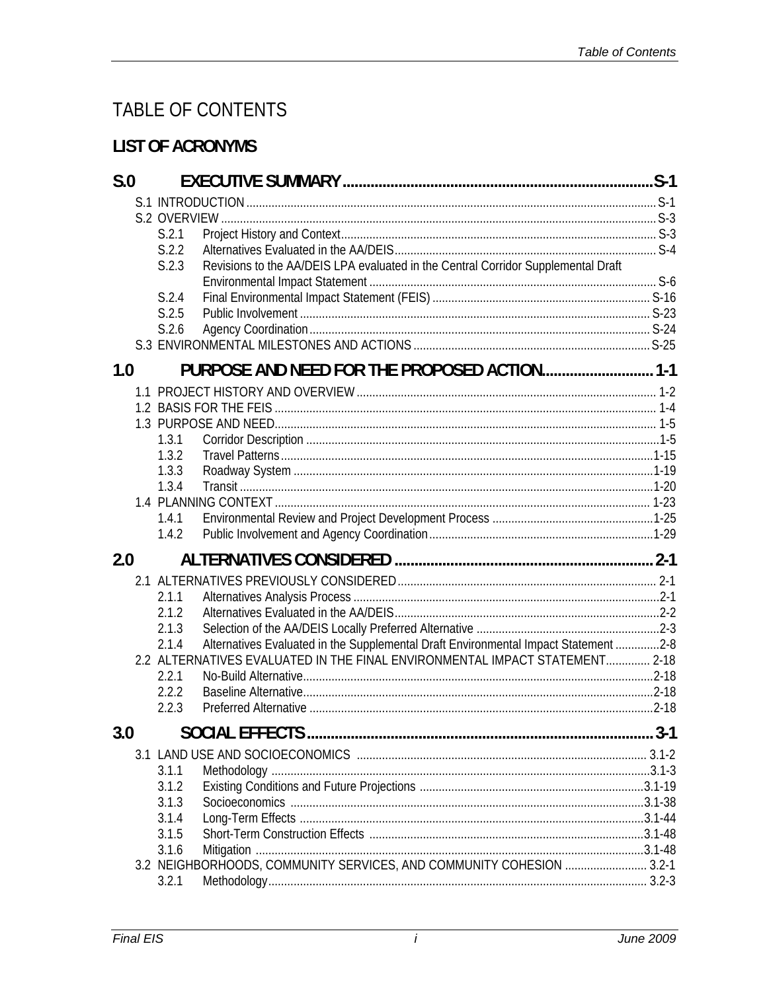## TABLE OF CONTENTS

## **LIST OF ACRONYMS**

| S.0 |                                                                                              | $S-1$    |
|-----|----------------------------------------------------------------------------------------------|----------|
|     |                                                                                              |          |
|     |                                                                                              |          |
|     | S.2.1                                                                                        |          |
|     | S.2.2                                                                                        |          |
|     | Revisions to the AA/DEIS LPA evaluated in the Central Corridor Supplemental Draft<br>S.2.3   |          |
|     |                                                                                              |          |
|     | S.2.4                                                                                        |          |
|     | S.2.5                                                                                        |          |
|     | S.2.6                                                                                        |          |
|     |                                                                                              |          |
| 1.0 | PURPOSE AND NEED FOR THE PROPOSED ACTION 1-1                                                 |          |
|     |                                                                                              |          |
|     |                                                                                              |          |
|     |                                                                                              |          |
|     | 1.3.1                                                                                        |          |
|     | 1.3.2                                                                                        |          |
|     | 1.3.3                                                                                        |          |
|     | 1.3.4                                                                                        |          |
|     |                                                                                              |          |
|     | 1.4.1                                                                                        |          |
|     | 1.4.2                                                                                        |          |
| 2.0 |                                                                                              |          |
|     |                                                                                              |          |
|     | 2.1.1                                                                                        |          |
|     | 2.1.2                                                                                        |          |
|     | 2.1.3                                                                                        |          |
|     | Alternatives Evaluated in the Supplemental Draft Environmental Impact Statement 2-8<br>2.1.4 |          |
|     | 2.2 ALTERNATIVES EVALUATED IN THE FINAL ENVIRONMENTAL IMPACT STATEMENT 2-18                  |          |
|     | 2.2.1                                                                                        |          |
|     | 2.2.2                                                                                        |          |
|     | 2.2.3                                                                                        |          |
| 3.0 |                                                                                              | $.3 - 1$ |
|     |                                                                                              |          |
|     | 3.1.1                                                                                        |          |
|     | 3.1.2                                                                                        |          |
|     | 3.1.3                                                                                        |          |
|     | 3.1.4                                                                                        |          |
|     | 3.1.5                                                                                        |          |
|     | 3.1.6                                                                                        |          |
|     | 3.2 NEIGHBORHOODS, COMMUNITY SERVICES, AND COMMUNITY COHESION  3.2-1                         |          |
|     | 3.2.1                                                                                        |          |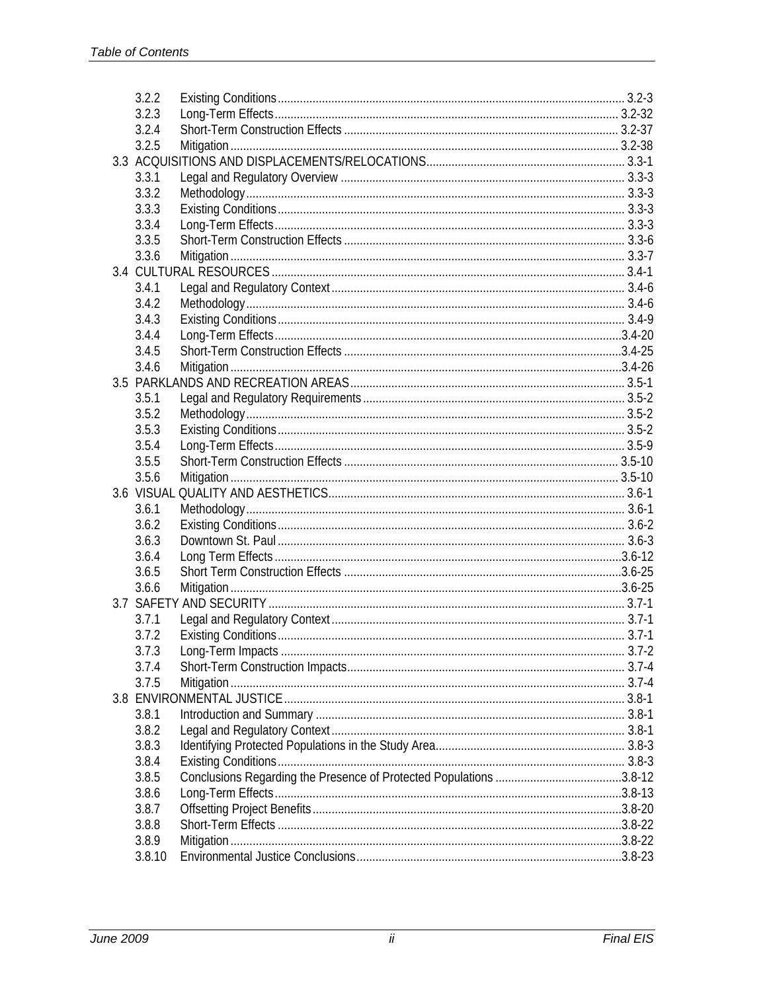| 3.2.2  |  |
|--------|--|
| 3.2.3  |  |
| 3.2.4  |  |
| 3.2.5  |  |
|        |  |
| 3.3.1  |  |
| 3.3.2  |  |
| 3.3.3  |  |
| 3.3.4  |  |
| 3.3.5  |  |
| 3.3.6  |  |
|        |  |
| 3.4.1  |  |
| 3.4.2  |  |
| 3.4.3  |  |
| 3.4.4  |  |
| 3.4.5  |  |
| 3.4.6  |  |
|        |  |
| 3.5.1  |  |
| 3.5.2  |  |
| 3.5.3  |  |
| 3.5.4  |  |
| 3.5.5  |  |
| 3.5.6  |  |
|        |  |
| 3.6.1  |  |
| 3.6.2  |  |
| 3.6.3  |  |
| 3.6.4  |  |
| 3.6.5  |  |
| 3.6.6  |  |
|        |  |
| 3.7.1  |  |
| 3.7.2  |  |
| 3.7.3  |  |
| 3.7.4  |  |
| 3.7.5  |  |
|        |  |
| 3.8.1  |  |
| 3.8.2  |  |
| 3.8.3  |  |
| 3.8.4  |  |
| 3.8.5  |  |
| 3.8.6  |  |
| 3.8.7  |  |
| 3.8.8  |  |
| 3.8.9  |  |
| 3.8.10 |  |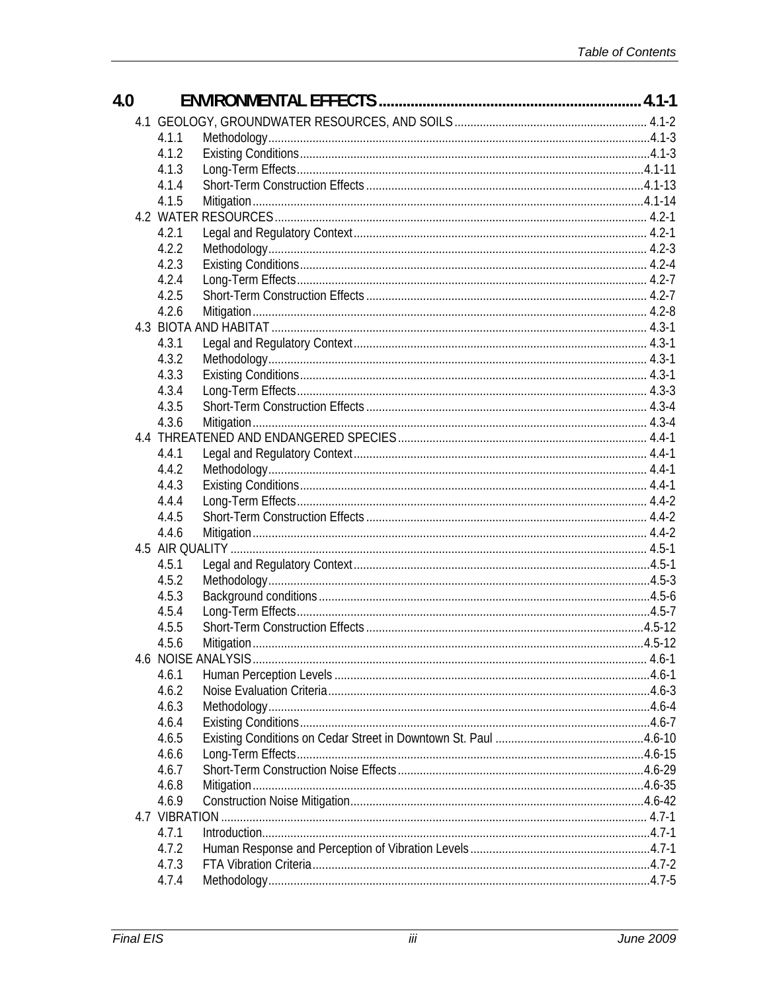| 4.1.1<br>4.1.2<br>4.1.3<br>4.1.4<br>4.1.5<br>4.2.1<br>4.2.2<br>4.2.3<br>4.2.4<br>4.2.5<br>4.2.6<br>4.3.1<br>4.3.2<br>4.3.3<br>4.3.4<br>4.3.5<br>4.3.6<br>4.4.1<br>4.4.2<br>4.4.3<br>4.4.4<br>4.4.5<br>4.4.6<br>4.5.1<br>4.5.2<br>4.5.3<br>4.5.4<br>4.5.5<br>4.5.6<br>4.6.1<br>4.6.2<br>4.6.3<br>4.6.4<br>4.6.5<br>4.6.6<br>4.6.7<br>4.6.8<br>4.6.9<br>4.7 VIBRATION<br>4.7.1<br>4.7.2<br>4.7.3 | 4.0 |       |  |
|------------------------------------------------------------------------------------------------------------------------------------------------------------------------------------------------------------------------------------------------------------------------------------------------------------------------------------------------------------------------------------------------|-----|-------|--|
|                                                                                                                                                                                                                                                                                                                                                                                                |     |       |  |
|                                                                                                                                                                                                                                                                                                                                                                                                |     |       |  |
|                                                                                                                                                                                                                                                                                                                                                                                                |     |       |  |
|                                                                                                                                                                                                                                                                                                                                                                                                |     |       |  |
|                                                                                                                                                                                                                                                                                                                                                                                                |     |       |  |
|                                                                                                                                                                                                                                                                                                                                                                                                |     |       |  |
|                                                                                                                                                                                                                                                                                                                                                                                                |     |       |  |
|                                                                                                                                                                                                                                                                                                                                                                                                |     |       |  |
|                                                                                                                                                                                                                                                                                                                                                                                                |     |       |  |
|                                                                                                                                                                                                                                                                                                                                                                                                |     |       |  |
|                                                                                                                                                                                                                                                                                                                                                                                                |     |       |  |
|                                                                                                                                                                                                                                                                                                                                                                                                |     |       |  |
|                                                                                                                                                                                                                                                                                                                                                                                                |     |       |  |
|                                                                                                                                                                                                                                                                                                                                                                                                |     |       |  |
|                                                                                                                                                                                                                                                                                                                                                                                                |     |       |  |
|                                                                                                                                                                                                                                                                                                                                                                                                |     |       |  |
|                                                                                                                                                                                                                                                                                                                                                                                                |     |       |  |
|                                                                                                                                                                                                                                                                                                                                                                                                |     |       |  |
|                                                                                                                                                                                                                                                                                                                                                                                                |     |       |  |
|                                                                                                                                                                                                                                                                                                                                                                                                |     |       |  |
|                                                                                                                                                                                                                                                                                                                                                                                                |     |       |  |
|                                                                                                                                                                                                                                                                                                                                                                                                |     |       |  |
|                                                                                                                                                                                                                                                                                                                                                                                                |     |       |  |
|                                                                                                                                                                                                                                                                                                                                                                                                |     |       |  |
|                                                                                                                                                                                                                                                                                                                                                                                                |     |       |  |
|                                                                                                                                                                                                                                                                                                                                                                                                |     |       |  |
|                                                                                                                                                                                                                                                                                                                                                                                                |     |       |  |
|                                                                                                                                                                                                                                                                                                                                                                                                |     |       |  |
|                                                                                                                                                                                                                                                                                                                                                                                                |     |       |  |
|                                                                                                                                                                                                                                                                                                                                                                                                |     |       |  |
|                                                                                                                                                                                                                                                                                                                                                                                                |     |       |  |
|                                                                                                                                                                                                                                                                                                                                                                                                |     |       |  |
|                                                                                                                                                                                                                                                                                                                                                                                                |     |       |  |
|                                                                                                                                                                                                                                                                                                                                                                                                |     |       |  |
|                                                                                                                                                                                                                                                                                                                                                                                                |     |       |  |
|                                                                                                                                                                                                                                                                                                                                                                                                |     |       |  |
|                                                                                                                                                                                                                                                                                                                                                                                                |     |       |  |
|                                                                                                                                                                                                                                                                                                                                                                                                |     |       |  |
|                                                                                                                                                                                                                                                                                                                                                                                                |     |       |  |
|                                                                                                                                                                                                                                                                                                                                                                                                |     |       |  |
|                                                                                                                                                                                                                                                                                                                                                                                                |     |       |  |
|                                                                                                                                                                                                                                                                                                                                                                                                |     |       |  |
|                                                                                                                                                                                                                                                                                                                                                                                                |     |       |  |
|                                                                                                                                                                                                                                                                                                                                                                                                |     |       |  |
|                                                                                                                                                                                                                                                                                                                                                                                                |     |       |  |
|                                                                                                                                                                                                                                                                                                                                                                                                |     |       |  |
|                                                                                                                                                                                                                                                                                                                                                                                                |     |       |  |
|                                                                                                                                                                                                                                                                                                                                                                                                |     | 4.7.4 |  |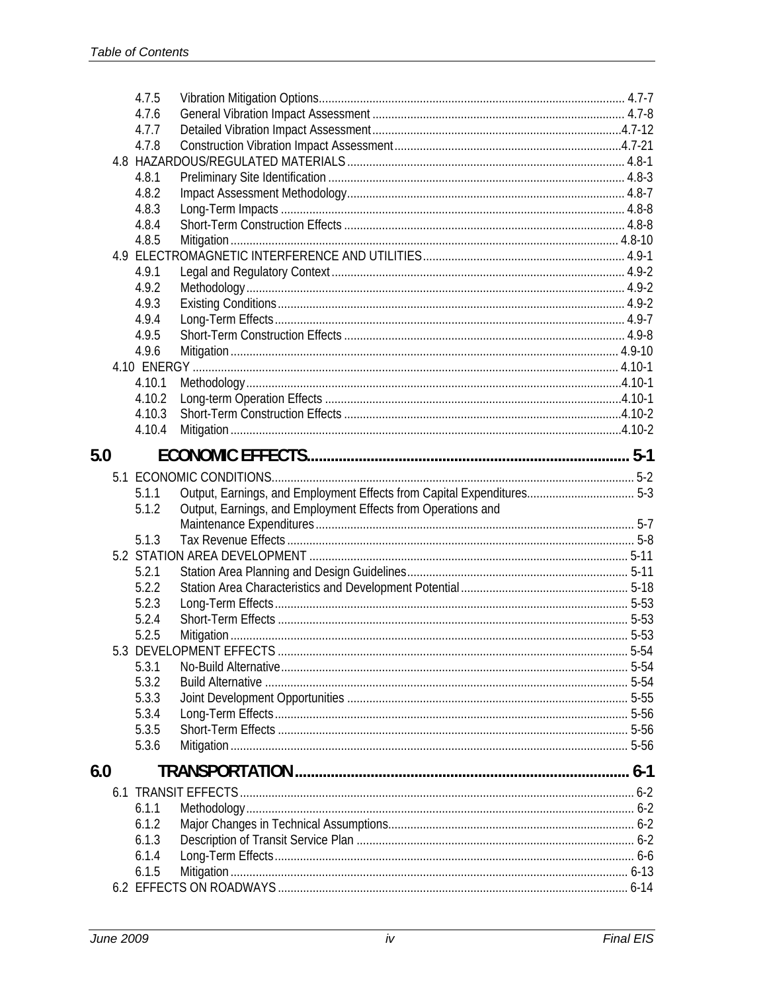|     | 4.7.5  |                                                                        |          |
|-----|--------|------------------------------------------------------------------------|----------|
|     | 4.7.6  |                                                                        |          |
|     | 4.7.7  |                                                                        |          |
|     | 4.7.8  |                                                                        |          |
|     |        |                                                                        |          |
|     | 4.8.1  |                                                                        |          |
|     | 4.8.2  |                                                                        |          |
|     | 4.8.3  |                                                                        |          |
|     | 4.8.4  |                                                                        |          |
|     | 4.8.5  |                                                                        |          |
|     |        |                                                                        |          |
|     | 4.9.1  |                                                                        |          |
|     | 4.9.2  |                                                                        |          |
|     | 4.9.3  |                                                                        |          |
|     | 4.9.4  |                                                                        |          |
|     | 4.9.5  |                                                                        |          |
|     | 4.9.6  |                                                                        |          |
|     | 4.10.1 |                                                                        |          |
|     | 4.10.2 |                                                                        |          |
|     | 4.10.3 |                                                                        |          |
|     | 4.10.4 |                                                                        |          |
|     |        |                                                                        |          |
| 5.0 |        |                                                                        |          |
|     |        |                                                                        |          |
|     | 5.1.1  | Output, Earnings, and Employment Effects from Capital Expenditures 5-3 |          |
|     | 5.1.2  | Output, Earnings, and Employment Effects from Operations and           |          |
|     |        |                                                                        |          |
|     | 5.1.3  |                                                                        |          |
|     |        |                                                                        |          |
|     | 5.2.1  |                                                                        |          |
|     | 5.2.2  |                                                                        |          |
|     | 5.2.3  |                                                                        |          |
|     | 5.2.4  |                                                                        |          |
|     | 5.2.5  |                                                                        |          |
|     | 5.3.1  |                                                                        | $5 - 54$ |
|     | 5.3.2  |                                                                        |          |
|     | 5.3.3  |                                                                        |          |
|     | 5.3.4  |                                                                        |          |
|     | 5.3.5  |                                                                        |          |
|     | 5.3.6  |                                                                        |          |
| 6.0 |        |                                                                        |          |
|     |        |                                                                        |          |
|     | 6.1.1  |                                                                        |          |
|     | 6.1.2  |                                                                        |          |
|     | 6.1.3  |                                                                        |          |
|     | 6.1.4  |                                                                        |          |
|     | 6.1.5  |                                                                        |          |
|     |        |                                                                        |          |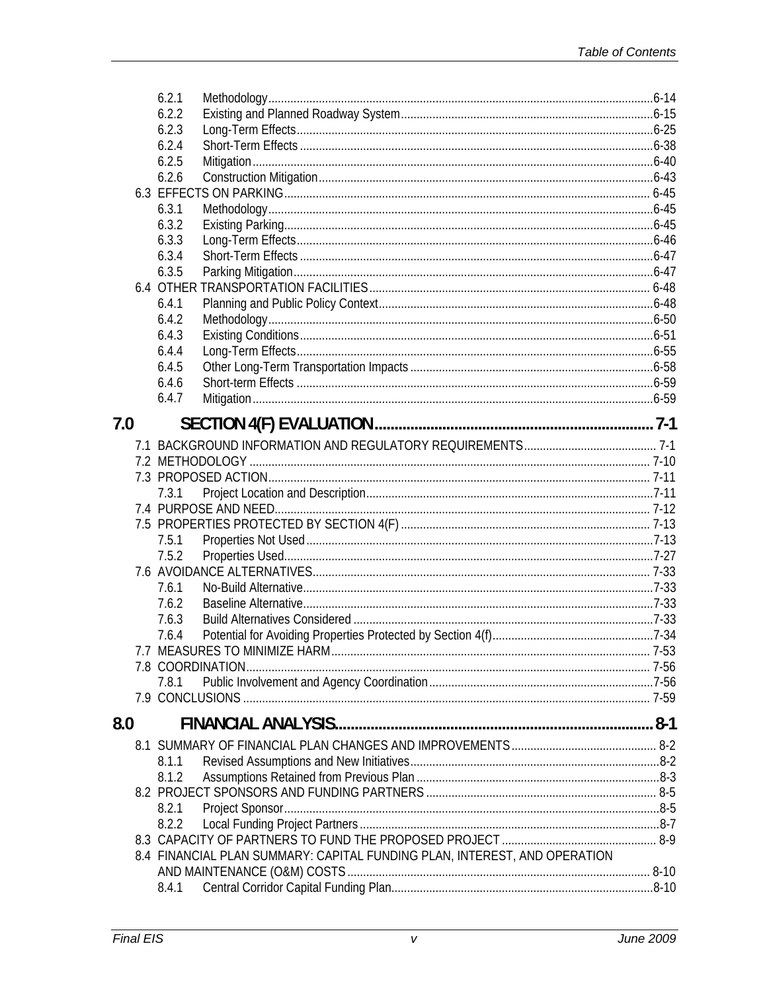|     | 6.2.1                                                                     |  |
|-----|---------------------------------------------------------------------------|--|
|     | 6.2.2                                                                     |  |
|     | 6.2.3                                                                     |  |
|     | 6.2.4                                                                     |  |
|     | 6.2.5                                                                     |  |
|     | 6.2.6                                                                     |  |
|     |                                                                           |  |
|     | 6.3.1                                                                     |  |
|     | 6.3.2                                                                     |  |
|     | 6.3.3                                                                     |  |
|     | 6.3.4                                                                     |  |
|     | 6.3.5                                                                     |  |
|     |                                                                           |  |
|     | 6.4.1                                                                     |  |
|     | 6.4.2                                                                     |  |
|     | 6.4.3                                                                     |  |
|     | 6.4.4                                                                     |  |
|     | 6.4.5                                                                     |  |
|     | 6.4.6                                                                     |  |
|     | 6.4.7                                                                     |  |
|     |                                                                           |  |
| 7.0 |                                                                           |  |
|     |                                                                           |  |
|     |                                                                           |  |
|     |                                                                           |  |
|     | 7.3.1                                                                     |  |
|     |                                                                           |  |
|     |                                                                           |  |
|     | 7.5.1                                                                     |  |
|     | 7.5.2                                                                     |  |
|     |                                                                           |  |
|     | 7.6.1                                                                     |  |
|     | 7.6.2                                                                     |  |
|     | 7.6.3                                                                     |  |
|     | 7.6.4                                                                     |  |
|     |                                                                           |  |
|     |                                                                           |  |
|     | 7.8.1                                                                     |  |
|     |                                                                           |  |
|     |                                                                           |  |
| 8.0 |                                                                           |  |
|     |                                                                           |  |
|     | 8.1.1                                                                     |  |
|     | 8.1.2                                                                     |  |
|     |                                                                           |  |
|     | 8.2.1                                                                     |  |
|     | 8.2.2                                                                     |  |
|     |                                                                           |  |
|     | 8.4 FINANCIAL PLAN SUMMARY: CAPITAL FUNDING PLAN, INTEREST, AND OPERATION |  |
|     |                                                                           |  |
|     | 8.4.1                                                                     |  |
|     |                                                                           |  |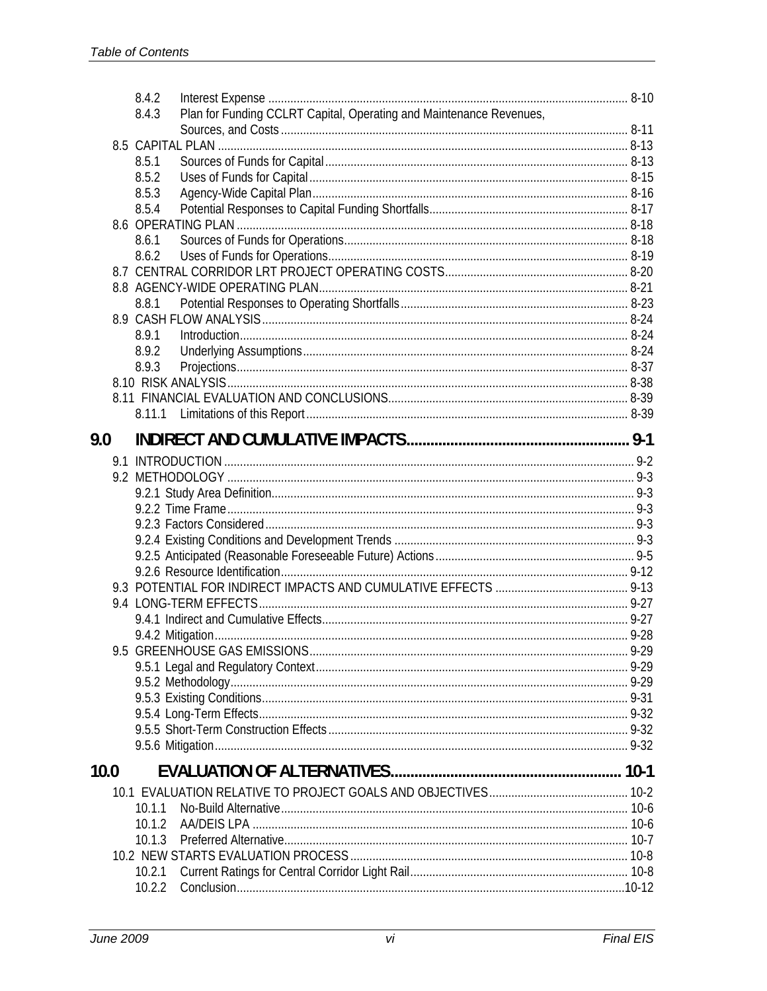|      | 8.4.2  |                                                                     |  |
|------|--------|---------------------------------------------------------------------|--|
|      | 8.4.3  | Plan for Funding CCLRT Capital, Operating and Maintenance Revenues, |  |
|      |        |                                                                     |  |
|      |        |                                                                     |  |
|      | 8.5.1  |                                                                     |  |
|      | 8.5.2  |                                                                     |  |
|      | 8.5.3  |                                                                     |  |
|      | 8.5.4  |                                                                     |  |
|      |        |                                                                     |  |
|      | 8.6.1  |                                                                     |  |
|      | 8.6.2  |                                                                     |  |
|      |        |                                                                     |  |
|      | 8.8.1  |                                                                     |  |
|      |        |                                                                     |  |
|      | 8.9.1  | $Introduction 8-24$                                                 |  |
|      | 8.9.2  |                                                                     |  |
|      | 8.9.3  |                                                                     |  |
|      |        |                                                                     |  |
|      |        |                                                                     |  |
|      | 8.11.1 |                                                                     |  |
| 9.0  |        |                                                                     |  |
|      |        |                                                                     |  |
|      |        |                                                                     |  |
|      |        |                                                                     |  |
|      |        |                                                                     |  |
|      |        |                                                                     |  |
|      |        |                                                                     |  |
|      |        |                                                                     |  |
|      |        |                                                                     |  |
|      |        |                                                                     |  |
|      |        |                                                                     |  |
|      |        |                                                                     |  |
|      |        |                                                                     |  |
|      |        |                                                                     |  |
|      |        |                                                                     |  |
|      |        |                                                                     |  |
|      |        |                                                                     |  |
|      |        |                                                                     |  |
|      |        |                                                                     |  |
|      |        |                                                                     |  |
| 10.0 |        |                                                                     |  |
|      |        |                                                                     |  |
|      | 10.1.1 |                                                                     |  |
|      | 10.1.2 |                                                                     |  |
|      | 10.1.3 |                                                                     |  |
|      |        |                                                                     |  |
|      | 10.2.1 |                                                                     |  |
|      | 10.2.2 |                                                                     |  |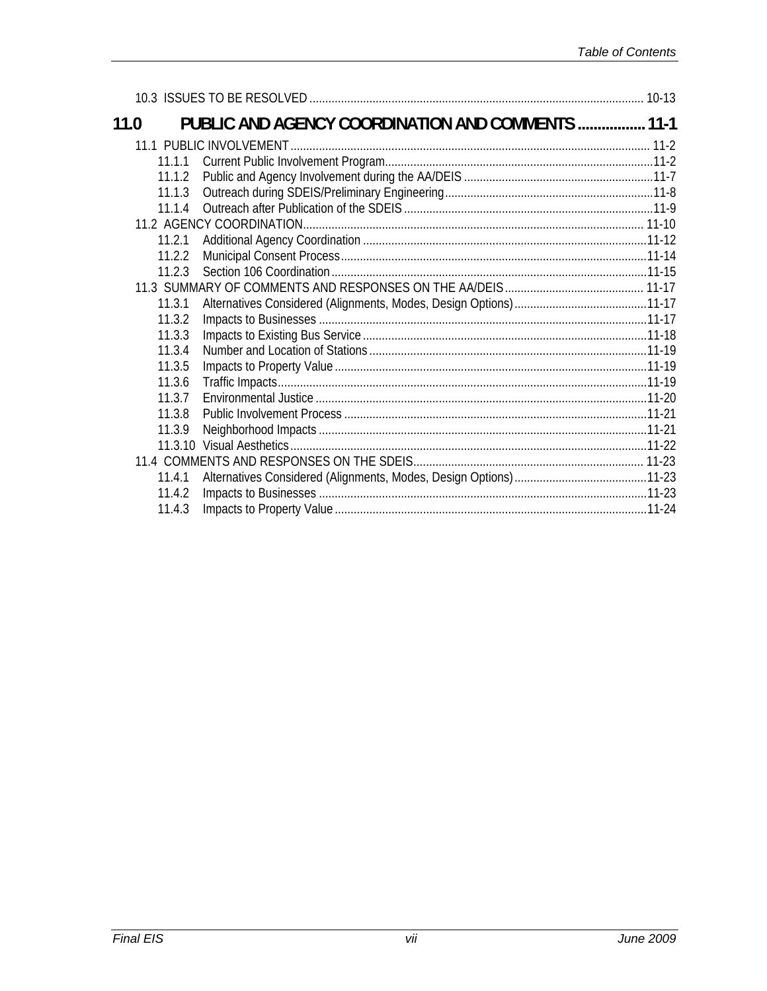| 11.0   | <b>PUBLIC AND AGENCY COORDINATION AND COMMENTS  11-1</b> |  |
|--------|----------------------------------------------------------|--|
|        |                                                          |  |
| 11.1.1 |                                                          |  |
| 11.1.2 |                                                          |  |
| 11.1.3 |                                                          |  |
| 11.1.4 |                                                          |  |
|        |                                                          |  |
| 11.2.1 |                                                          |  |
| 11.2.2 |                                                          |  |
| 11.2.3 |                                                          |  |
|        |                                                          |  |
| 11.3.1 |                                                          |  |
| 11.3.2 |                                                          |  |
| 11.3.3 |                                                          |  |
| 11.3.4 |                                                          |  |
| 11.3.5 |                                                          |  |
| 11.3.6 |                                                          |  |
| 11.3.7 |                                                          |  |
| 11.3.8 |                                                          |  |
| 11.3.9 |                                                          |  |
|        |                                                          |  |
|        |                                                          |  |
| 11.4.1 |                                                          |  |
| 11.4.2 |                                                          |  |
| 11.4.3 |                                                          |  |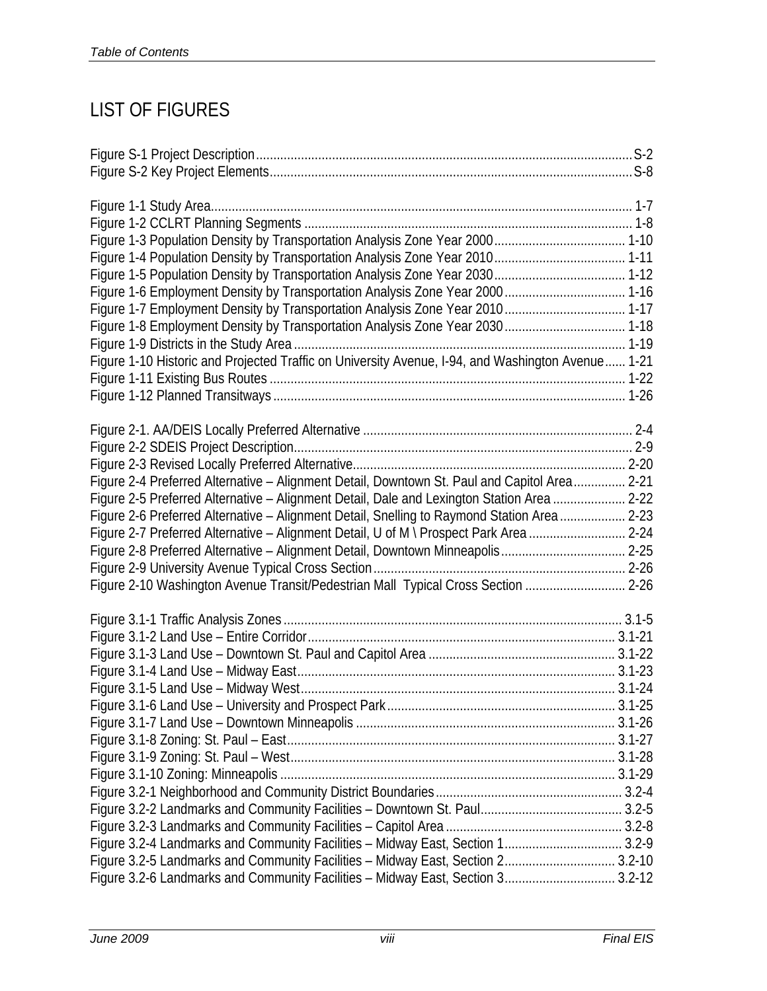## LIST OF FIGURES

| Figure 1-7 Employment Density by Transportation Analysis Zone Year 2010 1-17                      |  |
|---------------------------------------------------------------------------------------------------|--|
| Figure 1-8 Employment Density by Transportation Analysis Zone Year 2030 1-18                      |  |
|                                                                                                   |  |
| Figure 1-10 Historic and Projected Traffic on University Avenue, I-94, and Washington Avenue 1-21 |  |
|                                                                                                   |  |
|                                                                                                   |  |
|                                                                                                   |  |
|                                                                                                   |  |
|                                                                                                   |  |
| Figure 2-4 Preferred Alternative - Alignment Detail, Downtown St. Paul and Capitol Area 2-21      |  |
| Figure 2-5 Preferred Alternative - Alignment Detail, Dale and Lexington Station Area  2-22        |  |
| Figure 2-6 Preferred Alternative - Alignment Detail, Snelling to Raymond Station Area 2-23        |  |
| Figure 2-7 Preferred Alternative - Alignment Detail, U of M \ Prospect Park Area  2-24            |  |
| Figure 2-8 Preferred Alternative - Alignment Detail, Downtown Minneapolis 2-25                    |  |
|                                                                                                   |  |
| Figure 2-10 Washington Avenue Transit/Pedestrian Mall Typical Cross Section  2-26                 |  |
|                                                                                                   |  |
|                                                                                                   |  |
|                                                                                                   |  |
|                                                                                                   |  |
|                                                                                                   |  |
|                                                                                                   |  |
|                                                                                                   |  |
|                                                                                                   |  |
|                                                                                                   |  |
|                                                                                                   |  |
|                                                                                                   |  |
|                                                                                                   |  |
|                                                                                                   |  |
|                                                                                                   |  |
| Figure 3.2-4 Landmarks and Community Facilities - Midway East, Section 1 3.2-9                    |  |
| Figure 3.2-5 Landmarks and Community Facilities - Midway East, Section 2 3.2-10                   |  |
| Figure 3.2-6 Landmarks and Community Facilities - Midway East, Section 3 3.2-12                   |  |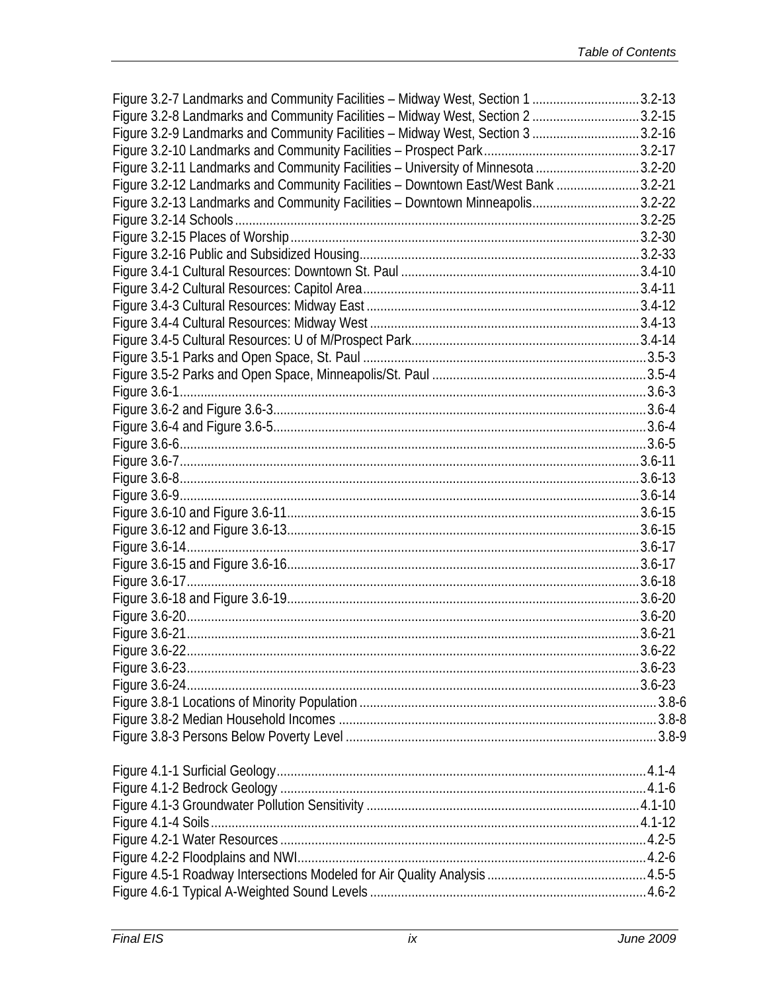| Figure 3.2-7 Landmarks and Community Facilities - Midway West, Section 1 3.2-13    |            |
|------------------------------------------------------------------------------------|------------|
| Figure 3.2-8 Landmarks and Community Facilities - Midway West, Section 23.2-15     |            |
| Figure 3.2-9 Landmarks and Community Facilities - Midway West, Section 3  3.2-16   |            |
|                                                                                    |            |
| Figure 3.2-11 Landmarks and Community Facilities - University of Minnesota 3.2-20  |            |
| Figure 3.2-12 Landmarks and Community Facilities - Downtown East/West Bank  3.2-21 |            |
| Figure 3.2-13 Landmarks and Community Facilities - Downtown Minneapolis3.2-22      |            |
|                                                                                    |            |
|                                                                                    |            |
|                                                                                    |            |
|                                                                                    |            |
|                                                                                    |            |
|                                                                                    |            |
|                                                                                    |            |
|                                                                                    |            |
|                                                                                    |            |
|                                                                                    |            |
|                                                                                    |            |
|                                                                                    |            |
|                                                                                    |            |
|                                                                                    |            |
|                                                                                    |            |
|                                                                                    |            |
|                                                                                    |            |
|                                                                                    |            |
|                                                                                    |            |
|                                                                                    |            |
|                                                                                    |            |
|                                                                                    |            |
|                                                                                    |            |
|                                                                                    |            |
|                                                                                    |            |
| Figure 3.6-22                                                                      | $3.6 - 22$ |
|                                                                                    |            |
|                                                                                    |            |
|                                                                                    |            |
|                                                                                    |            |
|                                                                                    |            |
|                                                                                    |            |
|                                                                                    |            |
|                                                                                    |            |
|                                                                                    |            |
|                                                                                    |            |
|                                                                                    |            |
|                                                                                    |            |
|                                                                                    |            |
|                                                                                    |            |
|                                                                                    |            |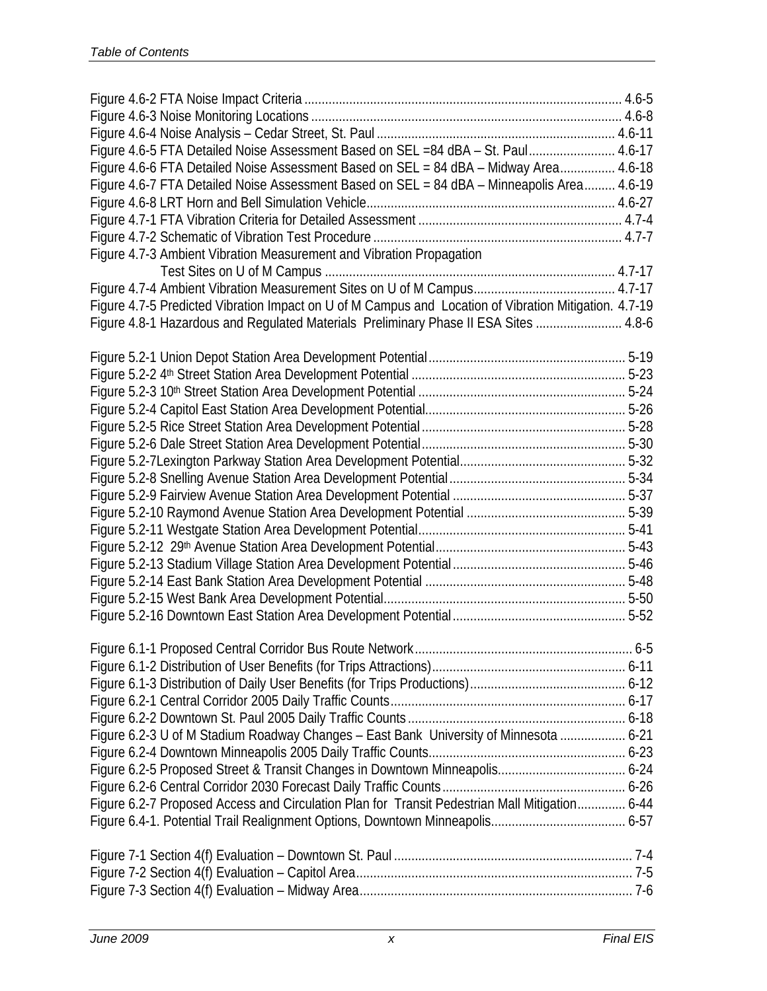| Figure 4.6-5 FTA Detailed Noise Assessment Based on SEL =84 dBA - St. Paul 4.6-17                     |  |
|-------------------------------------------------------------------------------------------------------|--|
| Figure 4.6-6 FTA Detailed Noise Assessment Based on SEL = 84 dBA - Midway Area 4.6-18                 |  |
| Figure 4.6-7 FTA Detailed Noise Assessment Based on SEL = 84 dBA - Minneapolis Area 4.6-19            |  |
|                                                                                                       |  |
|                                                                                                       |  |
|                                                                                                       |  |
| Figure 4.7-3 Ambient Vibration Measurement and Vibration Propagation                                  |  |
|                                                                                                       |  |
|                                                                                                       |  |
| Figure 4.7-5 Predicted Vibration Impact on U of M Campus and Location of Vibration Mitigation. 4.7-19 |  |
| Figure 4.8-1 Hazardous and Regulated Materials Preliminary Phase II ESA Sites  4.8-6                  |  |
|                                                                                                       |  |
|                                                                                                       |  |
|                                                                                                       |  |
|                                                                                                       |  |
|                                                                                                       |  |
|                                                                                                       |  |
|                                                                                                       |  |
|                                                                                                       |  |
|                                                                                                       |  |
|                                                                                                       |  |
|                                                                                                       |  |
|                                                                                                       |  |
|                                                                                                       |  |
|                                                                                                       |  |
|                                                                                                       |  |
|                                                                                                       |  |
|                                                                                                       |  |
|                                                                                                       |  |
|                                                                                                       |  |
|                                                                                                       |  |
|                                                                                                       |  |
| Figure 6.2-3 U of M Stadium Roadway Changes - East Bank University of Minnesota  6-21                 |  |
|                                                                                                       |  |
|                                                                                                       |  |
|                                                                                                       |  |
| Figure 6.2-7 Proposed Access and Circulation Plan for Transit Pedestrian Mall Mitigation 6-44         |  |
|                                                                                                       |  |
|                                                                                                       |  |
|                                                                                                       |  |
|                                                                                                       |  |
|                                                                                                       |  |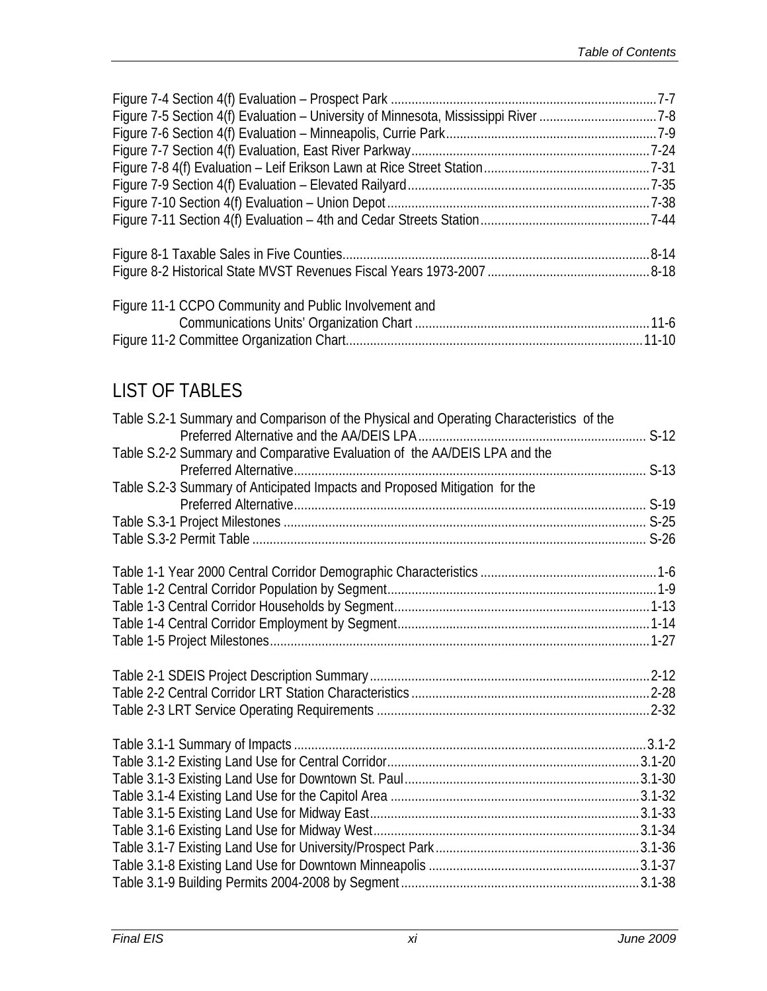| Figure 11-1 CCPO Community and Public Involvement and |  |
|-------------------------------------------------------|--|
|                                                       |  |
|                                                       |  |
|                                                       |  |
|                                                       |  |
| <b>LIST OF TABLES</b>                                 |  |

| Table S.2-1 Summary and Comparison of the Physical and Operating Characteristics of the | $S-12$ |
|-----------------------------------------------------------------------------------------|--------|
| Table S.2-2 Summary and Comparative Evaluation of the AA/DEIS LPA and the               |        |
| Table S.2-3 Summary of Anticipated Impacts and Proposed Mitigation for the              |        |
|                                                                                         |        |
|                                                                                         |        |
|                                                                                         |        |
|                                                                                         |        |
|                                                                                         |        |
|                                                                                         |        |
|                                                                                         |        |
|                                                                                         |        |
|                                                                                         |        |
|                                                                                         |        |
|                                                                                         |        |
|                                                                                         |        |
|                                                                                         |        |
|                                                                                         |        |
|                                                                                         |        |
|                                                                                         |        |
|                                                                                         |        |
|                                                                                         |        |
|                                                                                         |        |
|                                                                                         |        |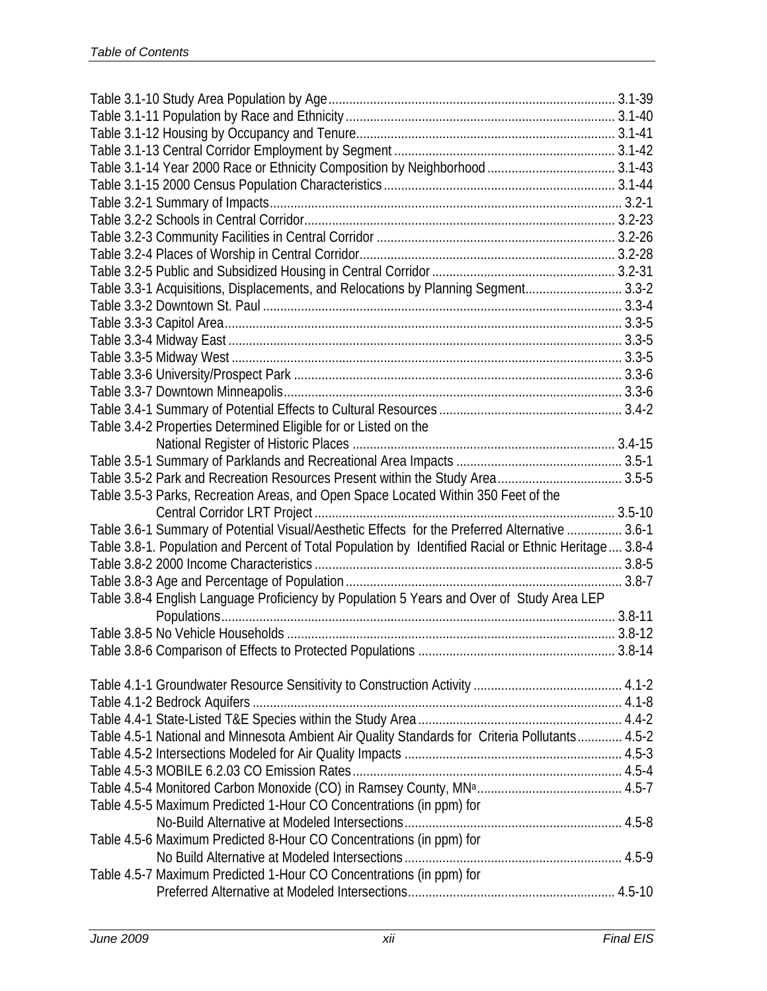|                                                                 | Table 3.3-1 Acquisitions, Displacements, and Relocations by Planning Segment 3.3-2                     |  |
|-----------------------------------------------------------------|--------------------------------------------------------------------------------------------------------|--|
|                                                                 |                                                                                                        |  |
|                                                                 |                                                                                                        |  |
|                                                                 |                                                                                                        |  |
|                                                                 |                                                                                                        |  |
|                                                                 |                                                                                                        |  |
|                                                                 |                                                                                                        |  |
|                                                                 |                                                                                                        |  |
| Table 3.4-2 Properties Determined Eligible for or Listed on the |                                                                                                        |  |
|                                                                 |                                                                                                        |  |
|                                                                 |                                                                                                        |  |
|                                                                 | Table 3.5-2 Park and Recreation Resources Present within the Study Area 3.5-5                          |  |
|                                                                 | Table 3.5-3 Parks, Recreation Areas, and Open Space Located Within 350 Feet of the                     |  |
|                                                                 |                                                                                                        |  |
|                                                                 | Table 3.6-1 Summary of Potential Visual/Aesthetic Effects for the Preferred Alternative  3.6-1         |  |
|                                                                 | Table 3.8-1. Population and Percent of Total Population by Identified Racial or Ethnic Heritage  3.8-4 |  |
|                                                                 |                                                                                                        |  |
|                                                                 |                                                                                                        |  |
|                                                                 | Table 3.8-4 English Language Proficiency by Population 5 Years and Over of Study Area LEP              |  |
|                                                                 |                                                                                                        |  |
|                                                                 |                                                                                                        |  |
|                                                                 |                                                                                                        |  |
|                                                                 |                                                                                                        |  |
|                                                                 |                                                                                                        |  |
|                                                                 |                                                                                                        |  |
|                                                                 |                                                                                                        |  |
|                                                                 | Table 4.5-1 National and Minnesota Ambient Air Quality Standards for Criteria Pollutants 4.5-2         |  |
|                                                                 |                                                                                                        |  |
|                                                                 |                                                                                                        |  |
|                                                                 |                                                                                                        |  |
|                                                                 | Table 4.5-5 Maximum Predicted 1-Hour CO Concentrations (in ppm) for                                    |  |
|                                                                 |                                                                                                        |  |
|                                                                 | Table 4.5-6 Maximum Predicted 8-Hour CO Concentrations (in ppm) for                                    |  |
|                                                                 |                                                                                                        |  |
|                                                                 | Table 4.5-7 Maximum Predicted 1-Hour CO Concentrations (in ppm) for                                    |  |
|                                                                 |                                                                                                        |  |
|                                                                 |                                                                                                        |  |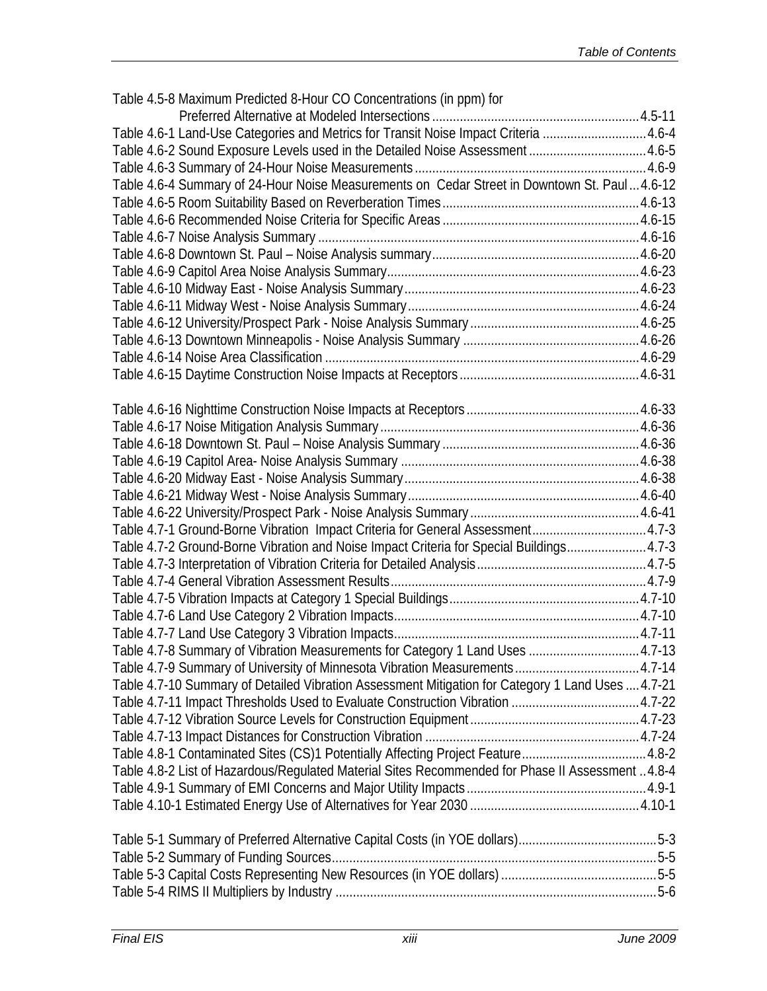| Table 4.5-8 Maximum Predicted 8-Hour CO Concentrations (in ppm) for                               |  |
|---------------------------------------------------------------------------------------------------|--|
|                                                                                                   |  |
| Table 4.6-1 Land-Use Categories and Metrics for Transit Noise Impact Criteria  4.6-4              |  |
| Table 4.6-2 Sound Exposure Levels used in the Detailed Noise Assessment 4.6-5                     |  |
|                                                                                                   |  |
| Table 4.6-4 Summary of 24-Hour Noise Measurements on Cedar Street in Downtown St. Paul 4.6-12     |  |
|                                                                                                   |  |
|                                                                                                   |  |
|                                                                                                   |  |
|                                                                                                   |  |
|                                                                                                   |  |
|                                                                                                   |  |
|                                                                                                   |  |
|                                                                                                   |  |
|                                                                                                   |  |
|                                                                                                   |  |
|                                                                                                   |  |
|                                                                                                   |  |
|                                                                                                   |  |
|                                                                                                   |  |
|                                                                                                   |  |
|                                                                                                   |  |
|                                                                                                   |  |
|                                                                                                   |  |
|                                                                                                   |  |
| Table 4.7-1 Ground-Borne Vibration Impact Criteria for General Assessment4.7-3                    |  |
| Table 4.7-2 Ground-Borne Vibration and Noise Impact Criteria for Special Buildings4.7-3           |  |
|                                                                                                   |  |
|                                                                                                   |  |
|                                                                                                   |  |
|                                                                                                   |  |
|                                                                                                   |  |
| Table 4.7-8 Summary of Vibration Measurements for Category 1 Land Uses  4.7-13                    |  |
| Table 4.7-9 Summary of University of Minnesota Vibration Measurements4.7-14                       |  |
| Table 4.7-10 Summary of Detailed Vibration Assessment Mitigation for Category 1 Land Uses  4.7-21 |  |
| Table 4.7-11 Impact Thresholds Used to Evaluate Construction Vibration  4.7-22                    |  |
|                                                                                                   |  |
|                                                                                                   |  |
| Table 4.8-1 Contaminated Sites (CS)1 Potentially Affecting Project Feature 4.8-2                  |  |
| Table 4.8-2 List of Hazardous/Regulated Material Sites Recommended for Phase II Assessment 4.8-4  |  |
|                                                                                                   |  |
|                                                                                                   |  |
|                                                                                                   |  |
|                                                                                                   |  |
|                                                                                                   |  |
|                                                                                                   |  |
|                                                                                                   |  |
|                                                                                                   |  |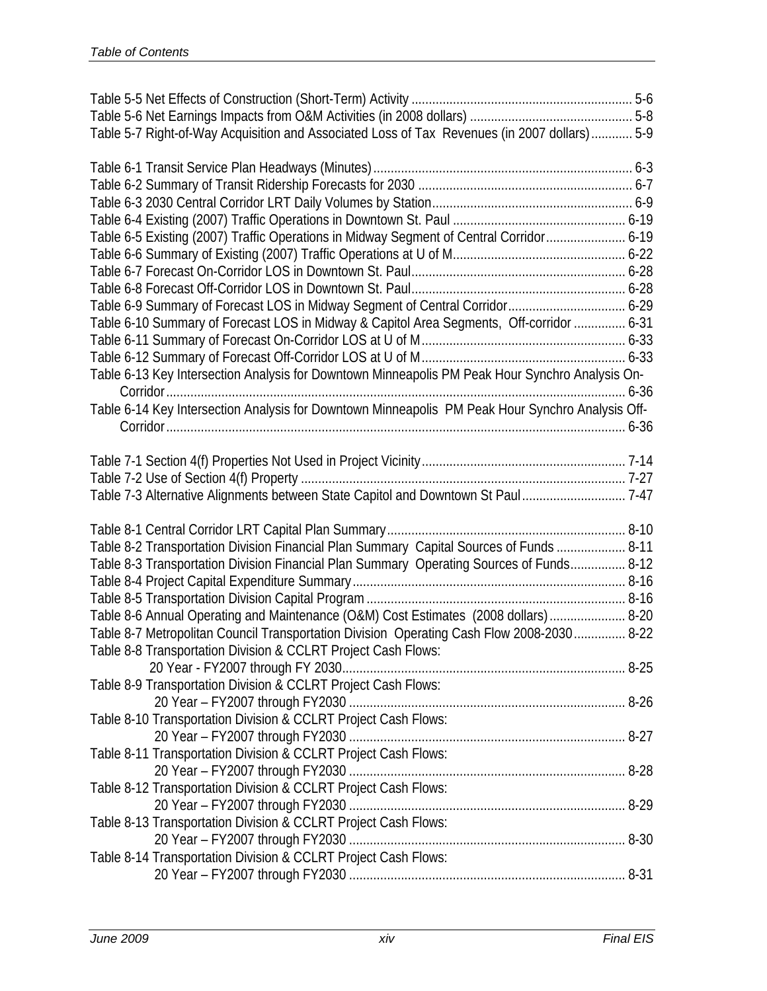| Table 5-7 Right-of-Way Acquisition and Associated Loss of Tax Revenues (in 2007 dollars) 5-9     |  |
|--------------------------------------------------------------------------------------------------|--|
|                                                                                                  |  |
|                                                                                                  |  |
|                                                                                                  |  |
|                                                                                                  |  |
| Table 6-5 Existing (2007) Traffic Operations in Midway Segment of Central Corridor 6-19          |  |
|                                                                                                  |  |
|                                                                                                  |  |
|                                                                                                  |  |
|                                                                                                  |  |
|                                                                                                  |  |
| Table 6-10 Summary of Forecast LOS in Midway & Capitol Area Segments, Off-corridor  6-31         |  |
|                                                                                                  |  |
|                                                                                                  |  |
| Table 6-13 Key Intersection Analysis for Downtown Minneapolis PM Peak Hour Synchro Analysis On-  |  |
|                                                                                                  |  |
| Table 6-14 Key Intersection Analysis for Downtown Minneapolis PM Peak Hour Synchro Analysis Off- |  |
|                                                                                                  |  |
|                                                                                                  |  |
|                                                                                                  |  |
| Table 7-3 Alternative Alignments between State Capitol and Downtown St Paul 7-47                 |  |
|                                                                                                  |  |
|                                                                                                  |  |
| Table 8-2 Transportation Division Financial Plan Summary Capital Sources of Funds  8-11          |  |
| Table 8-3 Transportation Division Financial Plan Summary Operating Sources of Funds 8-12         |  |
|                                                                                                  |  |
|                                                                                                  |  |
| Table 8-6 Annual Operating and Maintenance (O&M) Cost Estimates (2008 dollars)  8-20             |  |
| Table 8-7 Metropolitan Council Transportation Division Operating Cash Flow 2008-2030 8-22        |  |
| Table 8-8 Transportation Division & CCLRT Project Cash Flows:                                    |  |
|                                                                                                  |  |
| Table 8-9 Transportation Division & CCLRT Project Cash Flows:                                    |  |
|                                                                                                  |  |
| Table 8-10 Transportation Division & CCLRT Project Cash Flows:                                   |  |
|                                                                                                  |  |
| Table 8-11 Transportation Division & CCLRT Project Cash Flows:                                   |  |
|                                                                                                  |  |
| Table 8-12 Transportation Division & CCLRT Project Cash Flows:                                   |  |
|                                                                                                  |  |
| Table 8-13 Transportation Division & CCLRT Project Cash Flows:                                   |  |
|                                                                                                  |  |
| Table 8-14 Transportation Division & CCLRT Project Cash Flows:                                   |  |
|                                                                                                  |  |
|                                                                                                  |  |